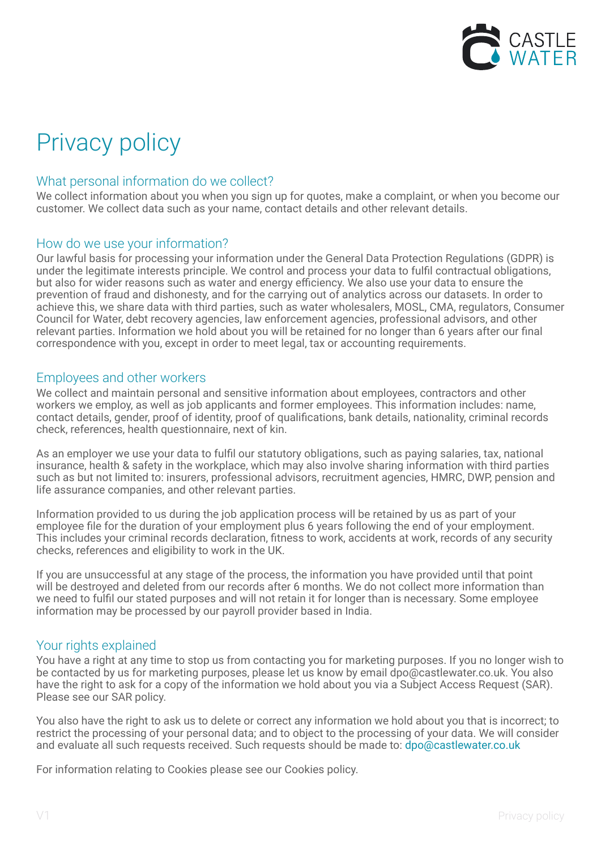

# Privacy policy

## What personal information do we collect?

We collect information about you when you sign up for quotes, make a complaint, or when you become our customer. We collect data such as your name, contact details and other relevant details.

## How do we use your information?

Our lawful basis for processing your information under the General Data Protection Regulations (GDPR) is under the legitimate interests principle. We control and process your data to fulfil contractual obligations, but also for wider reasons such as water and energy efficiency. We also use your data to ensure the prevention of fraud and dishonesty, and for the carrying out of analytics across our datasets. In order to achieve this, we share data with third parties, such as water wholesalers, MOSL, CMA, regulators, Consumer Council for Water, debt recovery agencies, law enforcement agencies, professional advisors, and other relevant parties. Information we hold about you will be retained for no longer than 6 years after our final correspondence with you, except in order to meet legal, tax or accounting requirements.

## Employees and other workers

We collect and maintain personal and sensitive information about employees, contractors and other workers we employ, as well as job applicants and former employees. This information includes: name, contact details, gender, proof of identity, proof of qualifications, bank details, nationality, criminal records check, references, health questionnaire, next of kin.

As an employer we use your data to fulfil our statutory obligations, such as paying salaries, tax, national insurance, health & safety in the workplace, which may also involve sharing information with third parties such as but not limited to: insurers, professional advisors, recruitment agencies, HMRC, DWP, pension and life assurance companies, and other relevant parties.

Information provided to us during the job application process will be retained by us as part of your employee file for the duration of your employment plus 6 years following the end of your employment. This includes your criminal records declaration, fitness to work, accidents at work, records of any security checks, references and eligibility to work in the UK.

If you are unsuccessful at any stage of the process, the information you have provided until that point will be destroyed and deleted from our records after 6 months. We do not collect more information than we need to fulfil our stated purposes and will not retain it for longer than is necessary. Some employee information may be processed by our payroll provider based in India.

## Your rights explained

You have a right at any time to stop us from contacting you for marketing purposes. If you no longer wish to be contacted by us for marketing purposes, please let us know by email dpo@castlewater.co.uk. You also have the right to ask for a copy of the information we hold about you via a Subject Access Request (SAR). Please see our SAR policy.

You also have the right to ask us to delete or correct any information we hold about you that is incorrect; to restrict the processing of your personal data; and to object to the processing of your data. We will consider and evaluate all such requests received. Such requests should be made to: dpo@castlewater.co.uk

For information relating to Cookies please see our Cookies policy.